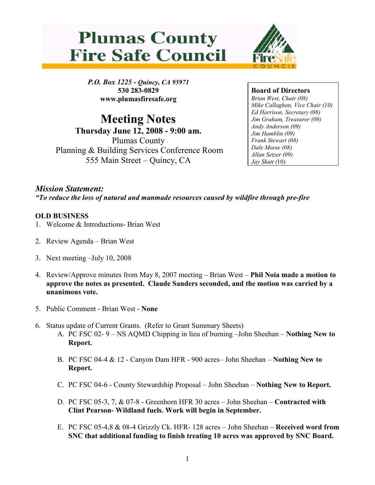



P.O. Box 1225 - Quincy, CA 95971 530 283-0829 www.plumasfiresafe.org

Meeting Notes Thursday June 12, 2008 - 9:00 am. Plumas County Planning & Building Services Conference Room 555 Main Street – Quincy, CA

Board of Directors Brian West, Chair (08) Mike Callaghan, Vice Chair (10) Ed Harrison, Secretary (08) Jim Graham, Treasurer (09) Andy Anderson (09) Jim Hamblin (09) Frank Stewart (08) Dale Meese (08) Allan Setzer (09) Jay Skutt (10)

Mission Statement: "To reduce the loss of natural and manmade resources caused by wildfire through pre-fire

## OLD BUSINESS

- 1. Welcome & Introductions- Brian West
- 2. Review Agenda Brian West
- 3. Next meeting –July 10, 2008
- 4. Review/Approve minutes from May 8, 2007 meeting Brian West Phil Noia made a motion to approve the notes as presented. Claude Sanders seconded, and the motion was carried by a unanimous vote.
- 5. Public Comment Brian West None
- 6. Status update of Current Grants. (Refer to Grant Summary Sheets)
	- A. PC FSC 02- 9 NS AQMD Chipping in lieu of burning –John Sheehan Nothing New to Report.
	- B. PC FSC 04-4 & 12 Canyon Dam HFR 900 acres– John Sheehan Nothing New to Report.
	- C. PC FSC 04-6 County Stewardship Proposal John Sheehan Nothing New to Report.
	- D. PC FSC 05-3, 7, & 07-8 Greenhorn HFR 30 acres John Sheehan Contracted with Clint Pearson- Wildland fuels. Work will begin in September.
	- E. PC FSC 05-4,8 & 08-4 Grizzly Ck. HFR- 128 acres John Sheehan Received word from SNC that additional funding to finish treating 10 acres was approved by SNC Board.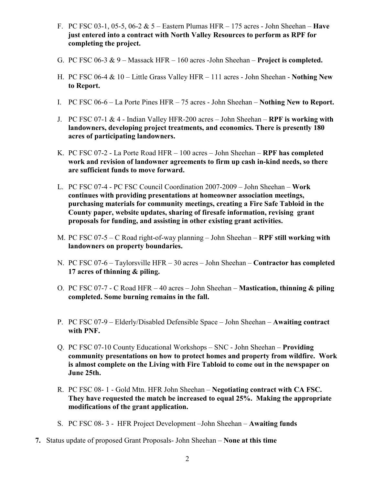- F. PC FSC 03-1, 05-5, 06-2  $& 5$  Eastern Plumas HFR 175 acres John Sheehan **Have** just entered into a contract with North Valley Resources to perform as RPF for completing the project.
- G. PC FSC 06-3  $\& 9$  Massack HFR 160 acres -John Sheehan **Project is completed.**
- H. PC FSC 06-4 & 10 Little Grass Valley HFR 111 acres John Sheehan Nothing New to Report.
- I. PC FSC 06-6 La Porte Pines HFR 75 acres John Sheehan Nothing New to Report.
- J. PC FSC 07-1  $& 4$  Indian Valley HFR-200 acres John Sheehan RPF is working with landowners, developing project treatments, and economics. There is presently 180 acres of participating landowners.
- K. PC FSC 07-2 La Porte Road HFR 100 acres John Sheehan RPF has completed work and revision of landowner agreements to firm up cash in-kind needs, so there are sufficient funds to move forward.
- L. PC FSC 07-4 PC FSC Council Coordination 2007-2009 John Sheehan Work continues with providing presentations at homeowner association meetings, purchasing materials for community meetings, creating a Fire Safe Tabloid in the County paper, website updates, sharing of firesafe information, revising grant proposals for funding, and assisting in other existing grant activities.
- M. PC FSC 07-5 C Road right-of-way planning John Sheehan RPF still working with landowners on property boundaries.
- N. PC FSC 07-6 Taylorsville HFR 30 acres John Sheehan Contractor has completed 17 acres of thinning & piling.
- O. PC FSC 07-7 C Road HFR 40 acres John Sheehan Mastication, thinning & piling completed. Some burning remains in the fall.
- P. PC FSC 07-9 Elderly/Disabled Defensible Space John Sheehan Awaiting contract with PNF.
- Q. PC FSC 07-10 County Educational Workshops SNC John Sheehan Providing community presentations on how to protect homes and property from wildfire. Work is almost complete on the Living with Fire Tabloid to come out in the newspaper on June 25th.
- R. PC FSC 08- 1 Gold Mtn. HFR John Sheehan Negotiating contract with CA FSC. They have requested the match be increased to equal 25%. Making the appropriate modifications of the grant application.
- S. PC FSC 08- 3 HFR Project Development –John Sheehan Awaiting funds
- 7. Status update of proposed Grant Proposals- John Sheehan None at this time